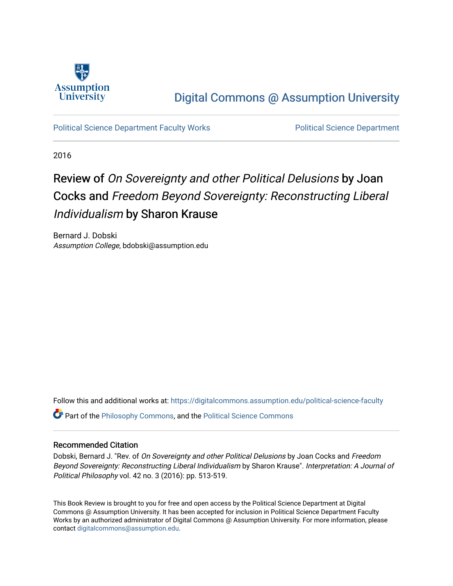

## [Digital Commons @ Assumption University](https://digitalcommons.assumption.edu/)

[Political Science Department Faculty Works](https://digitalcommons.assumption.edu/political-science-faculty) [Political Science Department](https://digitalcommons.assumption.edu/political-science) 

2016

## Review of On Sovereignty and other Political Delusions by Joan Cocks and Freedom Beyond Sovereignty: Reconstructing Liberal Individualism by Sharon Krause

Bernard J. Dobski Assumption College, bdobski@assumption.edu

Follow this and additional works at: [https://digitalcommons.assumption.edu/political-science-faculty](https://digitalcommons.assumption.edu/political-science-faculty?utm_source=digitalcommons.assumption.edu%2Fpolitical-science-faculty%2F69&utm_medium=PDF&utm_campaign=PDFCoverPages)

Part of the [Philosophy Commons,](http://network.bepress.com/hgg/discipline/525?utm_source=digitalcommons.assumption.edu%2Fpolitical-science-faculty%2F69&utm_medium=PDF&utm_campaign=PDFCoverPages) and the [Political Science Commons](http://network.bepress.com/hgg/discipline/386?utm_source=digitalcommons.assumption.edu%2Fpolitical-science-faculty%2F69&utm_medium=PDF&utm_campaign=PDFCoverPages) 

## Recommended Citation

Dobski, Bernard J. "Rev. of On Sovereignty and other Political Delusions by Joan Cocks and Freedom Beyond Sovereignty: Reconstructing Liberal Individualism by Sharon Krause". Interpretation: A Journal of Political Philosophy vol. 42 no. 3 (2016): pp. 513-519.

This Book Review is brought to you for free and open access by the Political Science Department at Digital Commons @ Assumption University. It has been accepted for inclusion in Political Science Department Faculty Works by an authorized administrator of Digital Commons @ Assumption University. For more information, please contact [digitalcommons@assumption.edu.](mailto:digitalcommons@assumption.edu)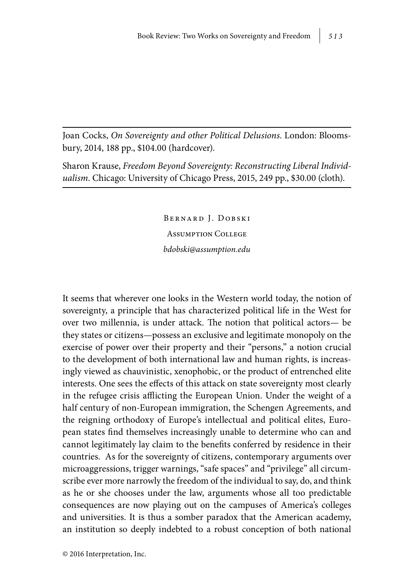Joan Cocks, *On Sovereignty and other Political Delusions*. London: Bloomsbury, 2014, 188 pp., \$104.00 (hardcover).

Sharon Krause, *Freedom Beyond Sovereignty: Reconstructing Liberal Individualism*. Chicago: University of Chicago Press, 2015, 249 pp., \$30.00 (cloth).

> Bernard J. Dobski Assumption College *bdobski@assumption.edu*

It seems that wherever one looks in the Western world today, the notion of sovereignty, a principle that has characterized political life in the West for over two millennia, is under attack. The notion that political actors— be they states or citizens—possess an exclusive and legitimate monopoly on the exercise of power over their property and their "persons," a notion crucial to the development of both international law and human rights, is increasingly viewed as chauvinistic, xenophobic, or the product of entrenched elite interests. One sees the effects of this attack on state sovereignty most clearly in the refugee crisis afflicting the European Union. Under the weight of a half century of non-European immigration, the Schengen Agreements, and the reigning orthodoxy of Europe's intellectual and political elites, European states find themselves increasingly unable to determine who can and cannot legitimately lay claim to the benefits conferred by residence in their countries. As for the sovereignty of citizens, contemporary arguments over microaggressions, trigger warnings, "safe spaces" and "privilege" all circumscribe ever more narrowly the freedom of the individual to say, do, and think as he or she chooses under the law, arguments whose all too predictable consequences are now playing out on the campuses of America's colleges and universities. It is thus a somber paradox that the American academy, an institution so deeply indebted to a robust conception of both national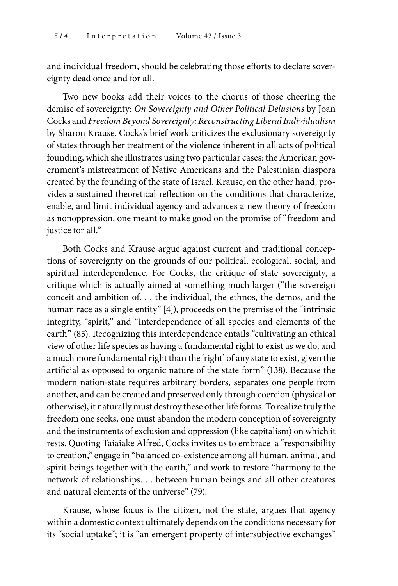and individual freedom, should be celebrating those efforts to declare sovereignty dead once and for all.

Two new books add their voices to the chorus of those cheering the demise of sovereignty: *On Sovereignty and Other Political Delusions* by Joan Cocks and *Freedom Beyond Sovereignty: Reconstructing Liberal Individualism* by Sharon Krause. Cocks's brief work criticizes the exclusionary sovereignty of states through her treatment of the violence inherent in all acts of political founding, which she illustrates using two particular cases: the American government's mistreatment of Native Americans and the Palestinian diaspora created by the founding of the state of Israel. Krause, on the other hand, provides a sustained theoretical reflection on the conditions that characterize, enable, and limit individual agency and advances a new theory of freedom as nonoppression, one meant to make good on the promise of "freedom and justice for all."

Both Cocks and Krause argue against current and traditional conceptions of sovereignty on the grounds of our political, ecological, social, and spiritual interdependence. For Cocks, the critique of state sovereignty, a critique which is actually aimed at something much larger ("the sovereign conceit and ambition of. . . the individual, the ethnos, the demos, and the human race as a single entity" [4]), proceeds on the premise of the "intrinsic integrity, "spirit," and "interdependence of all species and elements of the earth" (85). Recognizing this interdependence entails "cultivating an ethical view of other life species as having a fundamental right to exist as we do, and a much more fundamental right than the 'right' of any state to exist, given the artificial as opposed to organic nature of the state form" (138). Because the modern nation-state requires arbitrary borders, separates one people from another, and can be created and preserved only through coercion (physical or otherwise), it naturally must destroy these other life forms. To realize truly the freedom one seeks, one must abandon the modern conception of sovereignty and the instruments of exclusion and oppression (like capitalism) on which it rests. Quoting Taiaiake Alfred, Cocks invites us to embrace a "responsibility to creation," engage in "balanced co-existence among all human, animal, and spirit beings together with the earth," and work to restore "harmony to the network of relationships. . . between human beings and all other creatures and natural elements of the universe" (79).

Krause, whose focus is the citizen, not the state, argues that agency within a domestic context ultimately depends on the conditions necessary for its "social uptake"; it is "an emergent property of intersubjective exchanges"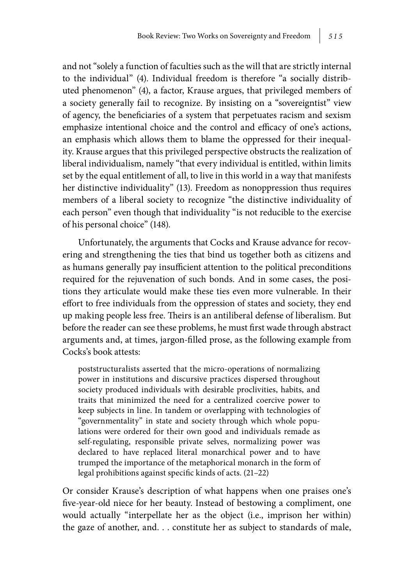and not "solely a function of faculties such as the will that are strictly internal to the individual" (4). Individual freedom is therefore "a socially distributed phenomenon" (4), a factor, Krause argues, that privileged members of a society generally fail to recognize. By insisting on a "sovereigntist" view of agency, the beneficiaries of a system that perpetuates racism and sexism emphasize intentional choice and the control and efficacy of one's actions, an emphasis which allows them to blame the oppressed for their inequality. Krause argues that this privileged perspective obstructs the realization of liberal individualism, namely "that every individual is entitled, within limits set by the equal entitlement of all, to live in this world in a way that manifests her distinctive individuality" (13). Freedom as nonoppression thus requires members of a liberal society to recognize "the distinctive individuality of each person" even though that individuality "is not reducible to the exercise of his personal choice" (148).

Unfortunately, the arguments that Cocks and Krause advance for recovering and strengthening the ties that bind us together both as citizens and as humans generally pay insufficient attention to the political preconditions required for the rejuvenation of such bonds. And in some cases, the positions they articulate would make these ties even more vulnerable. In their effort to free individuals from the oppression of states and society, they end up making people less free. Theirs is an antiliberal defense of liberalism. But before the reader can see these problems, he must first wade through abstract arguments and, at times, jargon-filled prose, as the following example from Cocks's book attests:

poststructuralists asserted that the micro-operations of normalizing power in institutions and discursive practices dispersed throughout society produced individuals with desirable proclivities, habits, and traits that minimized the need for a centralized coercive power to keep subjects in line. In tandem or overlapping with technologies of "governmentality" in state and society through which whole populations were ordered for their own good and individuals remade as self-regulating, responsible private selves, normalizing power was declared to have replaced literal monarchical power and to have trumped the importance of the metaphorical monarch in the form of legal prohibitions against specific kinds of acts. (21–22)

Or consider Krause's description of what happens when one praises one's five-year-old niece for her beauty. Instead of bestowing a compliment, one would actually "interpellate her as the object (i.e., imprison her within) the gaze of another, and. . . constitute her as subject to standards of male,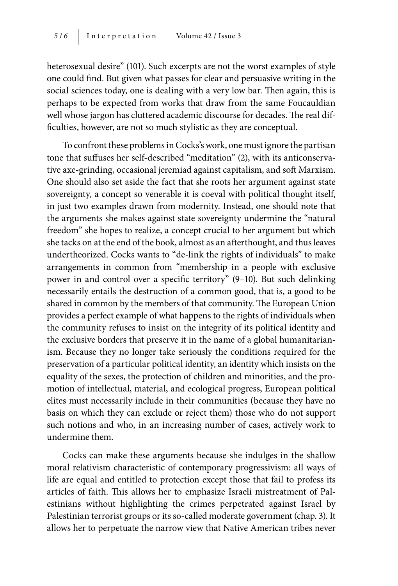heterosexual desire" (101). Such excerpts are not the worst examples of style one could find. But given what passes for clear and persuasive writing in the social sciences today, one is dealing with a very low bar. Then again, this is perhaps to be expected from works that draw from the same Foucauldian well whose jargon has cluttered academic discourse for decades. The real difficulties, however, are not so much stylistic as they are conceptual.

To confront these problems in Cocks's work, one must ignore the partisan tone that suffuses her self-described "meditation" (2), with its anticonservative axe-grinding, occasional jeremiad against capitalism, and soft Marxism. One should also set aside the fact that she roots her argument against state sovereignty, a concept so venerable it is coeval with political thought itself, in just two examples drawn from modernity. Instead, one should note that the arguments she makes against state sovereignty undermine the "natural freedom" she hopes to realize, a concept crucial to her argument but which she tacks on at the end of the book, almost as an afterthought, and thus leaves undertheorized. Cocks wants to "de-link the rights of individuals" to make arrangements in common from "membership in a people with exclusive power in and control over a specific territory" (9–10). But such delinking necessarily entails the destruction of a common good, that is, a good to be shared in common by the members of that community. The European Union provides a perfect example of what happens to the rights of individuals when the community refuses to insist on the integrity of its political identity and the exclusive borders that preserve it in the name of a global humanitarianism. Because they no longer take seriously the conditions required for the preservation of a particular political identity, an identity which insists on the equality of the sexes, the protection of children and minorities, and the promotion of intellectual, material, and ecological progress, European political elites must necessarily include in their communities (because they have no basis on which they can exclude or reject them) those who do not support such notions and who, in an increasing number of cases, actively work to undermine them.

Cocks can make these arguments because she indulges in the shallow moral relativism characteristic of contemporary progressivism: all ways of life are equal and entitled to protection except those that fail to profess its articles of faith. This allows her to emphasize Israeli mistreatment of Palestinians without highlighting the crimes perpetrated against Israel by Palestinian terrorist groups or its so-called moderate government (chap. 3). It allows her to perpetuate the narrow view that Native American tribes never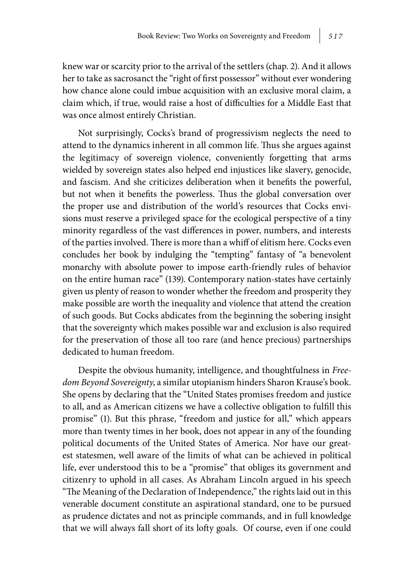knew war or scarcity prior to the arrival of the settlers (chap. 2). And it allows her to take as sacrosanct the "right of first possessor" without ever wondering how chance alone could imbue acquisition with an exclusive moral claim, a claim which, if true, would raise a host of difficulties for a Middle East that was once almost entirely Christian.

Not surprisingly, Cocks's brand of progressivism neglects the need to attend to the dynamics inherent in all common life. Thus she argues against the legitimacy of sovereign violence, conveniently forgetting that arms wielded by sovereign states also helped end injustices like slavery, genocide, and fascism. And she criticizes deliberation when it benefits the powerful, but not when it benefits the powerless. Thus the global conversation over the proper use and distribution of the world's resources that Cocks envisions must reserve a privileged space for the ecological perspective of a tiny minority regardless of the vast differences in power, numbers, and interests of the parties involved. There is more than a whiff of elitism here. Cocks even concludes her book by indulging the "tempting" fantasy of "a benevolent monarchy with absolute power to impose earth-friendly rules of behavior on the entire human race" (139). Contemporary nation-states have certainly given us plenty of reason to wonder whether the freedom and prosperity they make possible are worth the inequality and violence that attend the creation of such goods. But Cocks abdicates from the beginning the sobering insight that the sovereignty which makes possible war and exclusion is also required for the preservation of those all too rare (and hence precious) partnerships dedicated to human freedom.

Despite the obvious humanity, intelligence, and thoughtfulness in *Freedom Beyond Sovereignty*, a similar utopianism hinders Sharon Krause's book. She opens by declaring that the "United States promises freedom and justice to all, and as American citizens we have a collective obligation to fulfill this promise" (1). But this phrase, "freedom and justice for all," which appears more than twenty times in her book, does not appear in any of the founding political documents of the United States of America. Nor have our greatest statesmen, well aware of the limits of what can be achieved in political life, ever understood this to be a "promise" that obliges its government and citizenry to uphold in all cases. As Abraham Lincoln argued in his speech "The Meaning of the Declaration of Independence," the rights laid out in this venerable document constitute an aspirational standard, one to be pursued as prudence dictates and not as principle commands, and in full knowledge that we will always fall short of its lofty goals. Of course, even if one could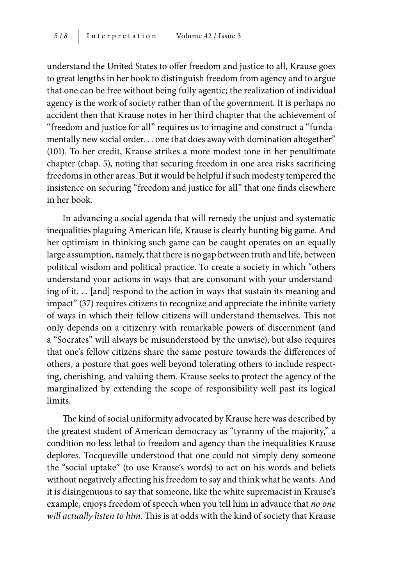understand the United States to offer freedom and justice to all, Krause goes to great lengths in her book to distinguish freedom from agency and to argue that one can be free without being fully agentic; the realization of individual agency is the work of society rather than of the government. It is perhaps no accident then that Krause notes in her third chapter that the achievement of "freedom and justice for all" requires us to imagine and construct a "fundamentally new social order. . . one that does away with domination altogether" (101). To her credit, Krause strikes a more modest tone in her penultimate chapter (chap. 5), noting that securing freedom in one area risks sacrificing freedoms in other areas. But it would be helpful if such modesty tempered the insistence on securing "freedom and justice for all" that one finds elsewhere in her book.

In advancing a social agenda that will remedy the unjust and systematic inequalities plaguing American life, Krause is clearly hunting big game. And her optimism in thinking such game can be caught operates on an equally large assumption, namely, that there is no gap between truth and life, between political wisdom and political practice. To create a society in which "others understand your actions in ways that are consonant with your understanding of it. . . [and] respond to the action in ways that sustain its meaning and impact" (37) requires citizens to recognize and appreciate the infinite variety of ways in which their fellow citizens will understand themselves. This not only depends on a citizenry with remarkable powers of discernment (and a "Socrates" will always be misunderstood by the unwise), but also requires that one's fellow citizens share the same posture towards the differences of others, a posture that goes well beyond tolerating others to include respecting, cherishing, and valuing them. Krause seeks to protect the agency of the marginalized by extending the scope of responsibility well past its logical limits.

The kind of social uniformity advocated by Krause here was described by the greatest student of American democracy as "tyranny of the majority," a condition no less lethal to freedom and agency than the inequalities Krause deplores. Tocqueville understood that one could not simply deny someone the "social uptake" (to use Krause's words) to act on his words and beliefs without negatively affecting his freedom to say and think what he wants. And it is disingenuous to say that someone, like the white supremacist in Krause's example, enjoys freedom of speech when you tell him in advance that *no one will actually listen to him*. This is at odds with the kind of society that Krause